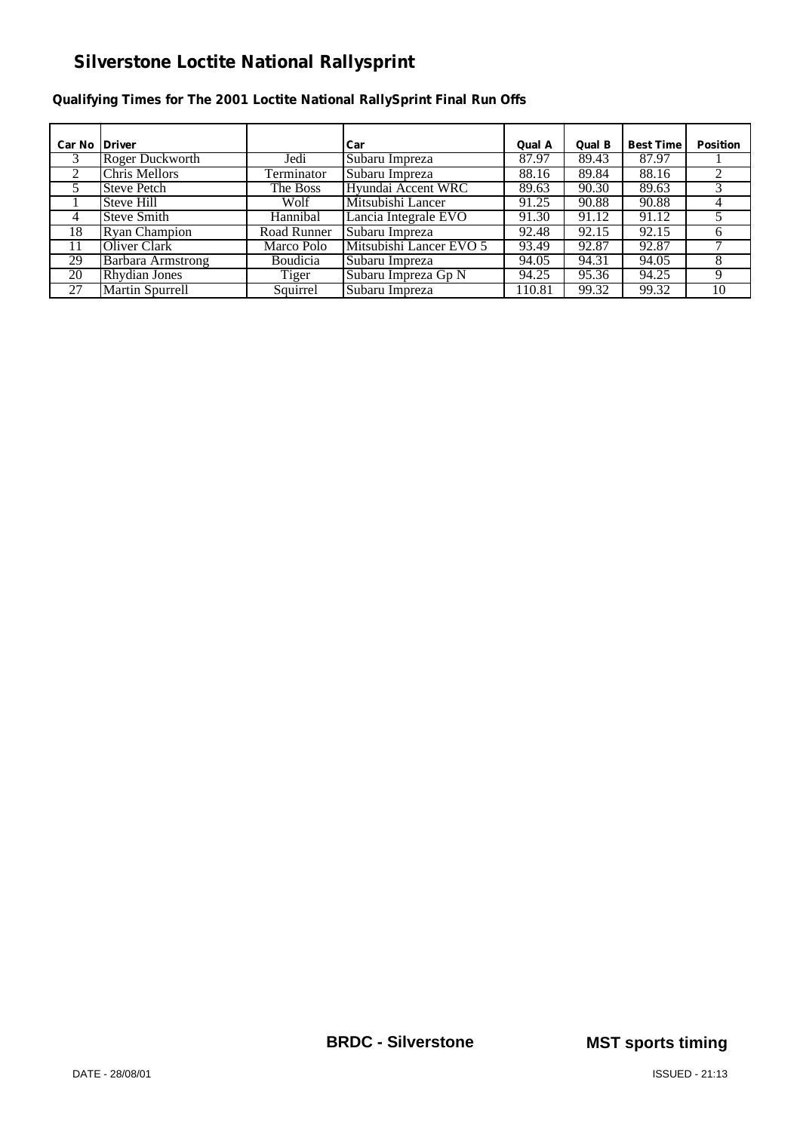#### **Qualifying Times for The 2001 Loctite National RallySprint Final Run Offs**

| <b>Car No IDriver</b> |                          |                 | Car                     | Qual A | Qual B | <b>Best Time</b> | <b>Position</b> |
|-----------------------|--------------------------|-----------------|-------------------------|--------|--------|------------------|-----------------|
| 3                     | Roger Duckworth          | Jedi            | Subaru Impreza          | 87.97  | 89.43  | 87.97            |                 |
| 2                     | <b>Chris Mellors</b>     | Terminator      | Subaru Impreza          | 88.16  | 89.84  | 88.16            |                 |
| 5                     | <b>Steve Petch</b>       | The Boss        | Hyundai Accent WRC      | 89.63  | 90.30  | 89.63            |                 |
|                       | Steve Hill               | Wolf            | Mitsubishi Lancer       | 91.25  | 90.88  | 90.88            |                 |
| 4                     | <b>Steve Smith</b>       | Hannibal        | Lancia Integrale EVO    | 91.30  | 91.12  | 91.12            |                 |
| 18                    | <b>Ryan Champion</b>     | Road Runner     | Subaru Impreza          | 92.48  | 92.15  | 92.15            |                 |
| 11                    | Oliver Clark             | Marco Polo      | Mitsubishi Lancer EVO 5 | 93.49  | 92.87  | 92.87            |                 |
| 29                    | <b>Barbara Armstrong</b> | <b>Boudicia</b> | Subaru Impreza          | 94.05  | 94.31  | 94.05            | 8               |
| 20                    | <b>Rhydian Jones</b>     | Tiger           | Subaru Impreza Gp N     | 94.25  | 95.36  | 94.25            |                 |
| 27                    | <b>Martin Spurrell</b>   | Squirrel        | Subaru Impreza          | 110.81 | 99.32  | 99.32            | 10              |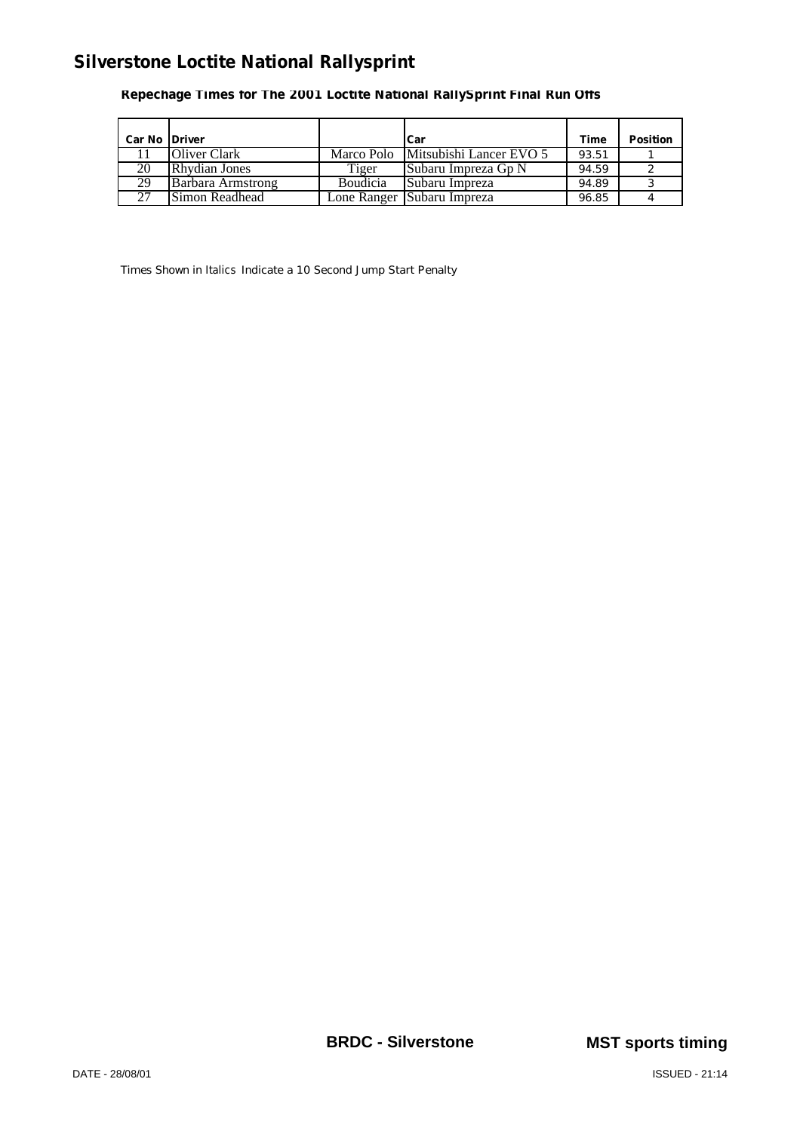**Repechage Times for The 2001 Loctite National RallySprint Final Run Offs**

| Car No Driver |                      |                 | Car                                | Time  | <b>Position</b> |
|---------------|----------------------|-----------------|------------------------------------|-------|-----------------|
|               | Oliver Clark         |                 | Marco Polo Mitsubishi Lancer EVO 5 | 93.51 |                 |
| 20            | <b>Rhydian Jones</b> | Tiger           | <b>Subaru Impreza Gp N</b>         | 94.59 |                 |
| 29            | Barbara Armstrong    | <b>Boudicia</b> | Subaru Impreza                     | 94.89 |                 |
| 27            | Simon Readhead       |                 | Lone Ranger Subaru Impreza         | 96.85 |                 |

Times Shown in *Italics* Indicate a 10 Second Jump Start Penalty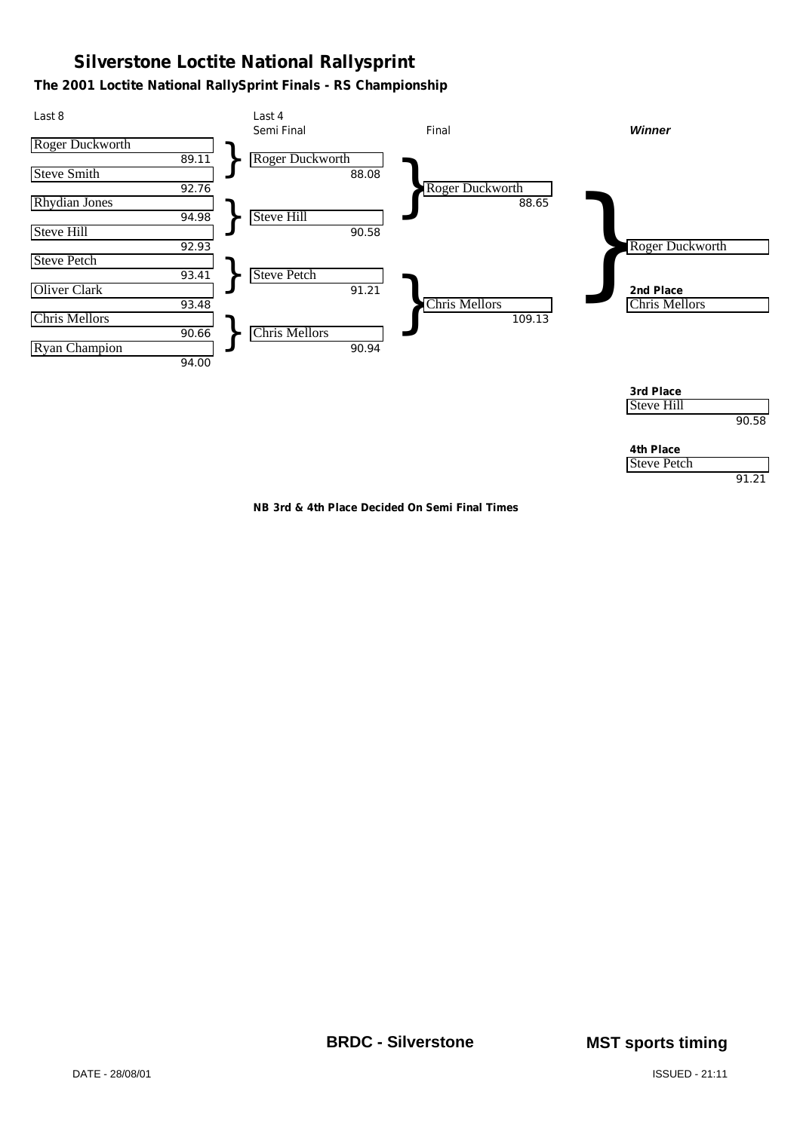#### **The 2001 Loctite National RallySprint Finals - RS Championship**



**NB 3rd & 4th Place Decided On Semi Final Times**

91.21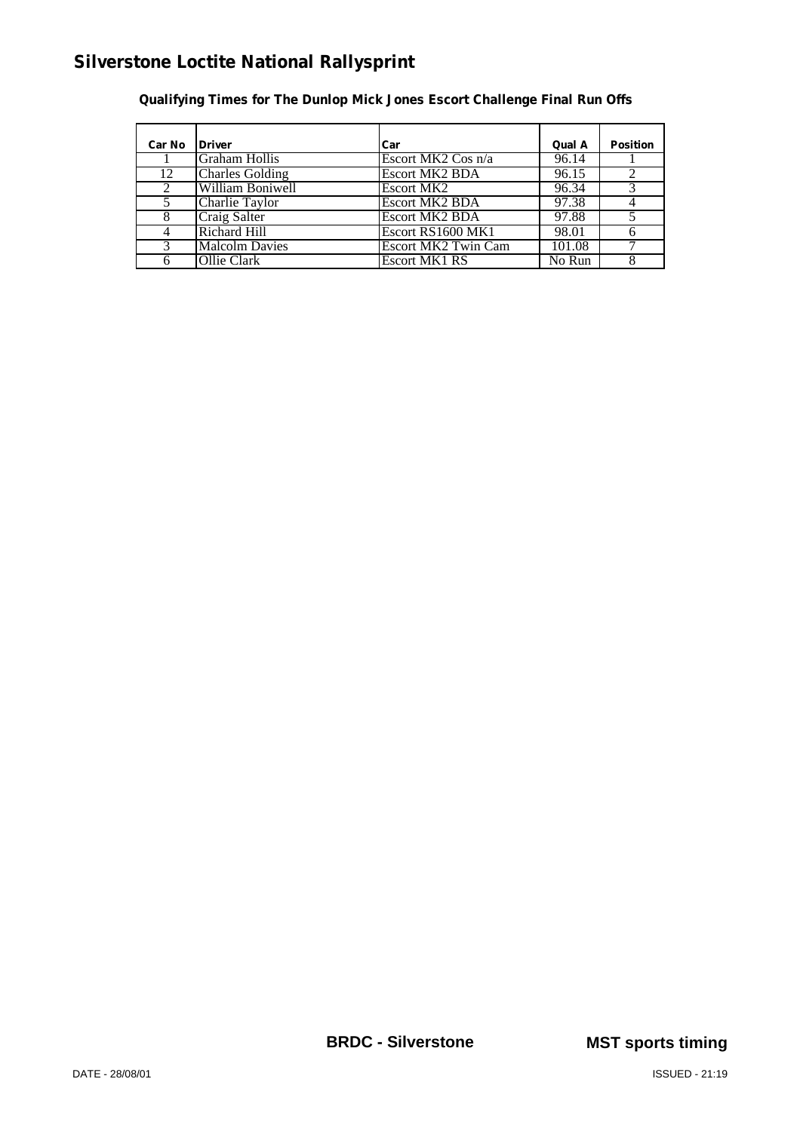| Car No         | <b>Driver</b>          | Car                   | Qual A | <b>Position</b> |
|----------------|------------------------|-----------------------|--------|-----------------|
|                | <b>Graham Hollis</b>   | Escort MK2 Cos n/a    | 96.14  |                 |
| 12             | <b>Charles Golding</b> | <b>Escort MK2 BDA</b> | 96.15  | ∍               |
| $\mathfrak{D}$ | William Boniwell       | Escort MK2            | 96.34  |                 |
| 5              | Charlie Taylor         | <b>Escort MK2 BDA</b> | 97.38  |                 |
| 8              | Craig Salter           | <b>Escort MK2 BDA</b> | 97.88  |                 |
| 4              | <b>Richard Hill</b>    | Escort RS1600 MK1     | 98.01  |                 |
| 3              | <b>Malcolm Davies</b>  | Escort MK2 Twin Cam   | 101.08 |                 |
|                | Ollie Clark            | Escort MK1 RS         | No Run |                 |

**Qualifying Times for The Dunlop Mick Jones Escort Challenge Final Run Offs**

**BRDC - Silverstone MST sports timing**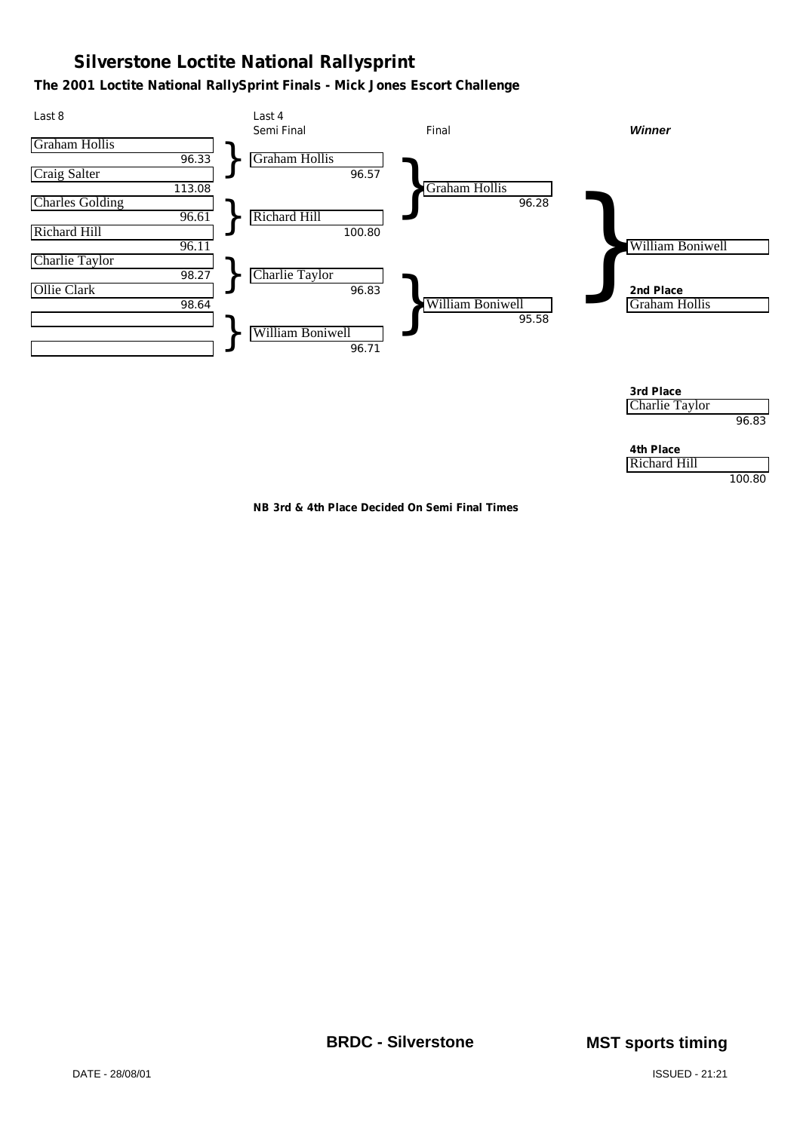#### **The 2001 Loctite National RallySprint Finals - Mick Jones Escort Challenge**



**NB 3rd & 4th Place Decided On Semi Final Times**

**BRDC - Silverstone MST sports timing**

100.80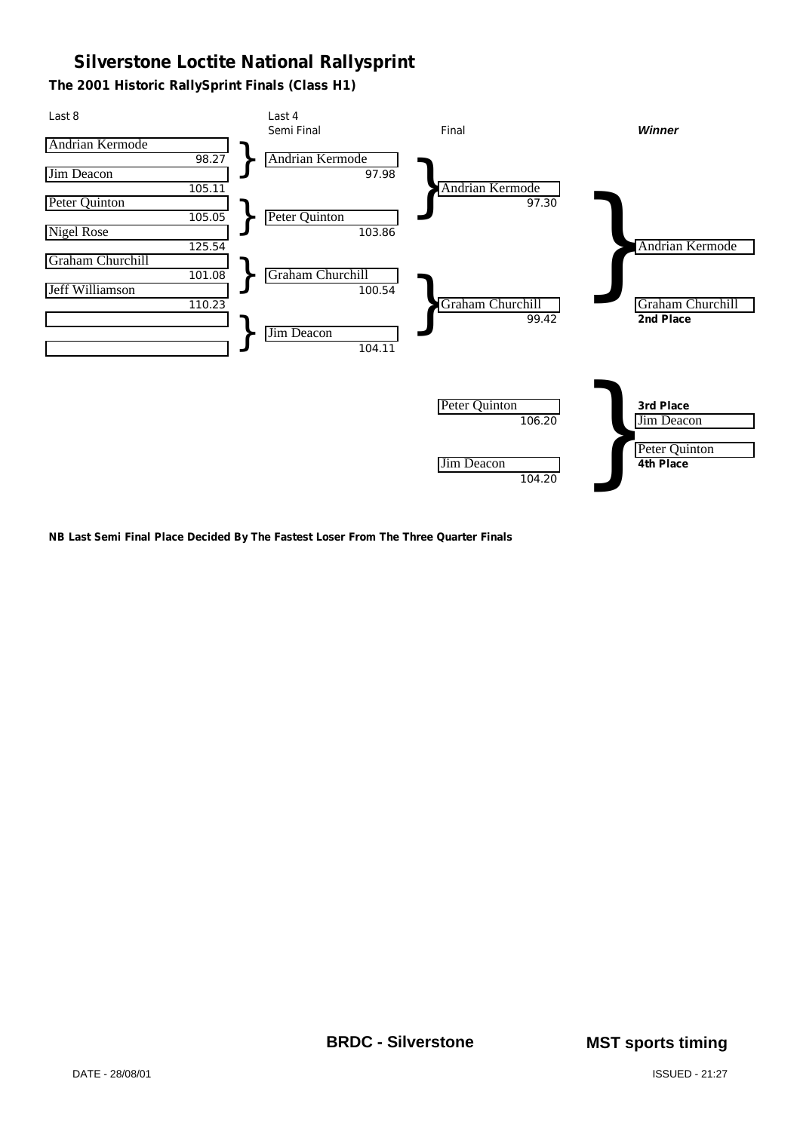**The 2001 Historic RallySprint Finals (Class H1)**



**NB Last Semi Final Place Decided By The Fastest Loser From The Three Quarter Finals**

**BRDC - Silverstone MST sports timing**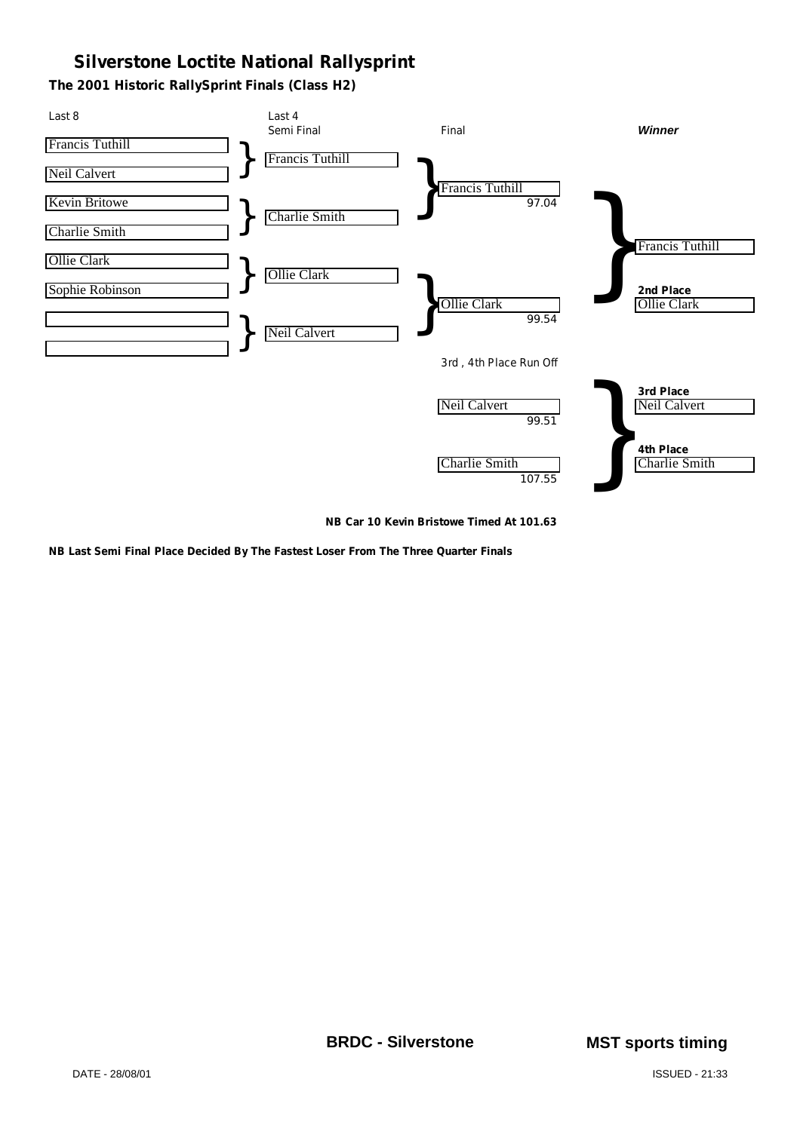**The 2001 Historic RallySprint Finals (Class H2)**



**NB Car 10 Kevin Bristowe Timed At 101.63**

**NB Last Semi Final Place Decided By The Fastest Loser From The Three Quarter Finals**